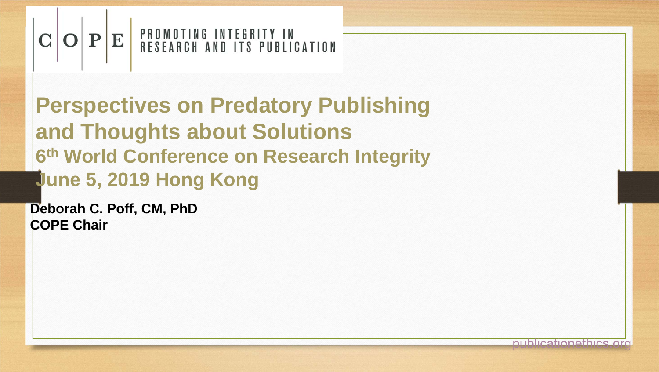# $\mathbf{C} \|\mathbf{O}\| \mathbf{P} \|\mathbf{E}\|$  PROMOTING INTEGRITY IN

**Perspectives on Predatory Publishing and Thoughts about Solutions 6th World Conference on Research Integrity June 5, 2019 Hong Kong**

**Deborah C. Poff, CM, PhD COPE Chair**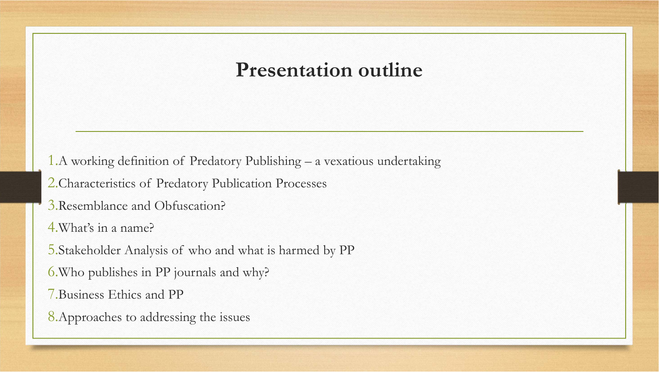### **Presentation outline**

1.A working definition of Predatory Publishing – a vexatious undertaking

2.Characteristics of Predatory Publication Processes

3.Resemblance and Obfuscation?

4.What's in a name?

5.Stakeholder Analysis of who and what is harmed by PP

6.Who publishes in PP journals and why?

7.Business Ethics and PP

8.Approaches to addressing the issues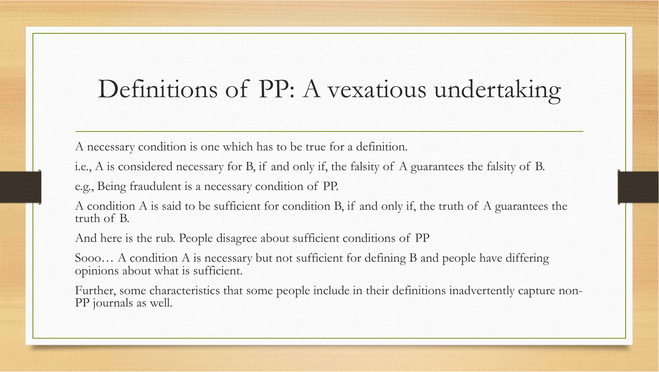## Definitions of PP: A vexatious undertaking

A necessary condition is one which has to be true for a definition.

i.e., A is considered necessary for B, if and only if, the falsity of A guarantees the falsity of B.

e.g., Being fraudulent is a necessary condition of PP.

A condition A is said to be sufficient for condition B, if and only if, the truth of A guarantees the truth of B.

And here is the rub. People disagree about sufficient conditions of PP

Sooo… A condition A is necessary but not sufficient for defining B and people have differing opinions about what is sufficient.

Further, some characteristics that some people include in their definitions inadvertently capture non-PP journals as well.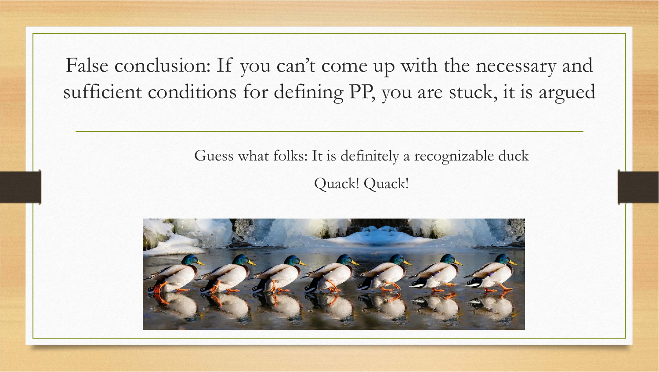False conclusion: If you can't come up with the necessary and sufficient conditions for defining PP, you are stuck, it is argued

### Guess what folks: It is definitely a recognizable duck Quack! Quack!

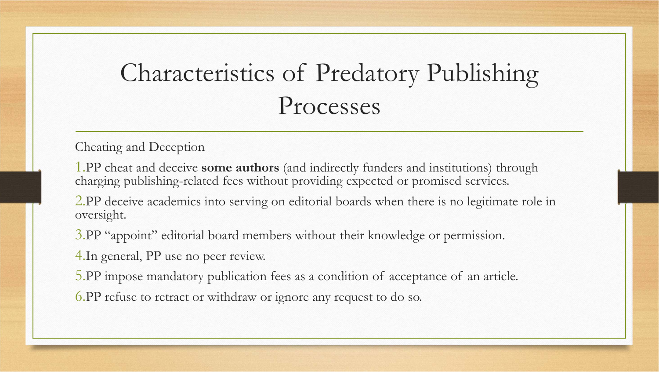## Characteristics of Predatory Publishing Processes

Cheating and Deception

1.PP cheat and deceive **some authors** (and indirectly funders and institutions) through charging publishing-related fees without providing expected or promised services.

2.PP deceive academics into serving on editorial boards when there is no legitimate role in oversight.

3.PP "appoint" editorial board members without their knowledge or permission.

4.In general, PP use no peer review.

5.PP impose mandatory publication fees as a condition of acceptance o<sup>f</sup> an article.

6.PP refuse to retract or withdraw or ignore any request to do so.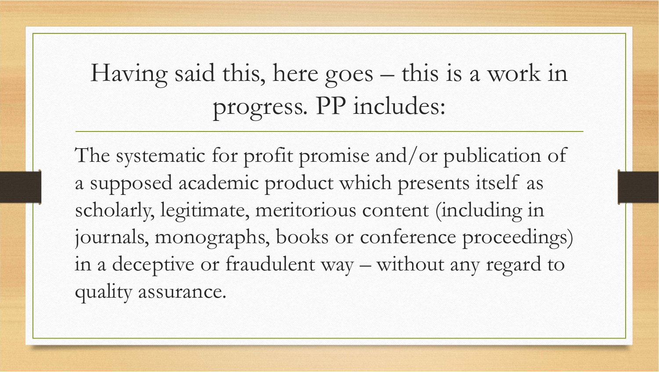Having said this, here goes – this is a work in progress. PP includes:

The systematic for profit promise and/or publication of a supposed academic product which presents itself as scholarly, legitimate, meritorious content (including in journals, monographs, books or conference proceedings) in a deceptive or fraudulent way – without any regard to quality assurance.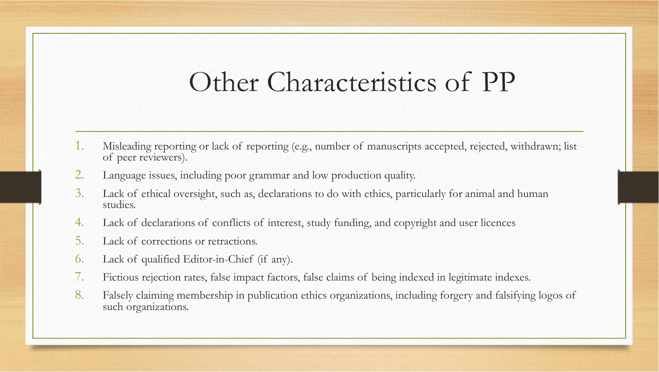## Other Characteristics of PP

- 1. Misleading reporting or lack of reporting (e.g., number of manuscripts accepted, rejected, withdrawn; list of peer reviewers).
- 2. Language issues, including poor grammar and low production quality.
- 3. Lack of ethical oversight, such as, declarations to do with ethics, particularly for animal and human studies.
- 4. Lack of declarations of conflicts of interest, study funding, and copyright and user licences
- 5. Lack of corrections or retractions.
- 6. Lack of qualified Editor-in-Chief (if any).
- 7. Fictious rejection rates, false impact factors, false claims of being indexed in legitimate indexes.
- 8. Falsely claiming membership in publication ethics organizations, including forgery and falsifying logos of such organizations.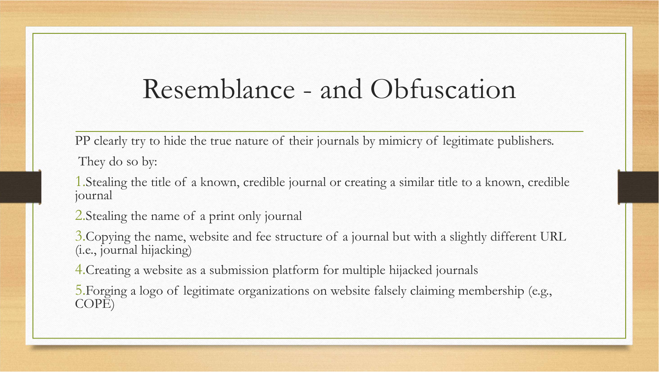### Resemblance - and Obfuscation

PP clearly try to hide the true nature of their journals by mimicry of legitimate publishers.

They do so by:

1.Stealing the title of a known, credible journal or creating a similar title to a known, credible journal

2.Stealing the name of a print only journal

3.Copying the name, website and fee structure of a journal but with a slightly different URL (i.e., journal hijacking)

4.Creating a website as a submission platform for multiple hijacked journals

5.Forging a logo of legitimate organizations on website falsely claiming membership (e.g., COPE)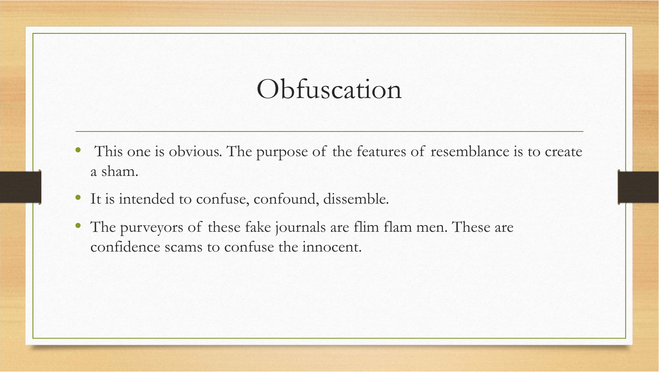## Obfuscation

- $\bullet$  This one is obvious. The purpose of the features of resemblance is to create a sham.
- It is intended to confuse, confound, dissemble.
- The purveyors of these fake journals are flim flam men. These are confidence scams to confuse the innocent.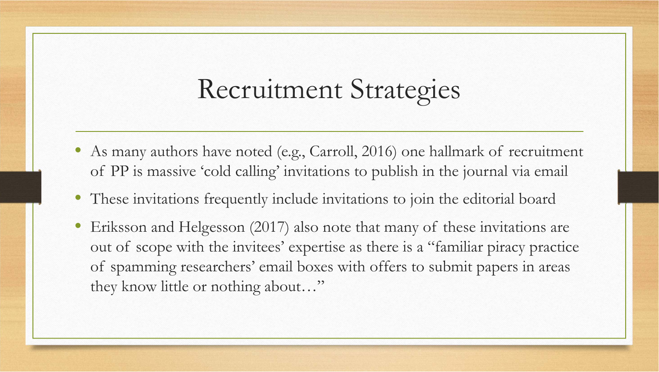## Recruitment Strategies

- $\bullet$  As many authors have noted (e.g., Carroll, 2016) one hallmark of recruitment of PP is massive 'cold calling' invitations to publish in the journal via email
- These invitations frequently include invitations to join the editorial board
- • Eriksson and Helgesson (2017) also note that many of these invitations are out of scope with the invitees' expertise as there is a "familiar piracy practice of spamming researchers' email boxes with offers to submit papers in areas they know little or nothing about…"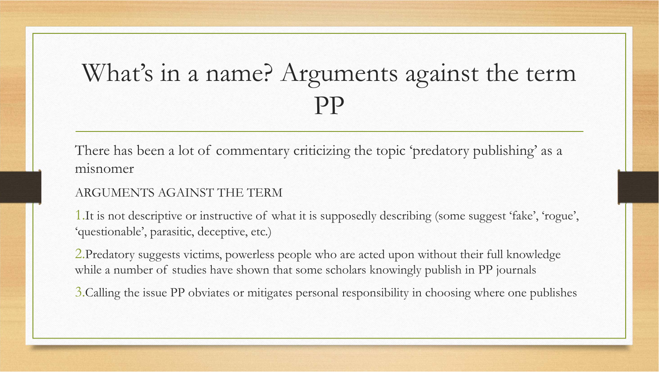## What's in a name? Arguments against the term PP

There has been a lot of commentary criticizing the topic 'predatory publishing' as a misnomer

#### ARGUMENTS AGAINST THE TERM

1.It is not descriptive or instructive of what it is supposedly describing (some suggest 'fake', 'rogue', 'questionable', parasitic, deceptive, etc.)

2.Predatory suggests victims, powerless people who are acted upon without their full knowledge while a number of studies have shown that some scholars knowingly publish in PP journals

3.Calling the issue PP obviates or mitigates personal responsibility in choosing where one publishes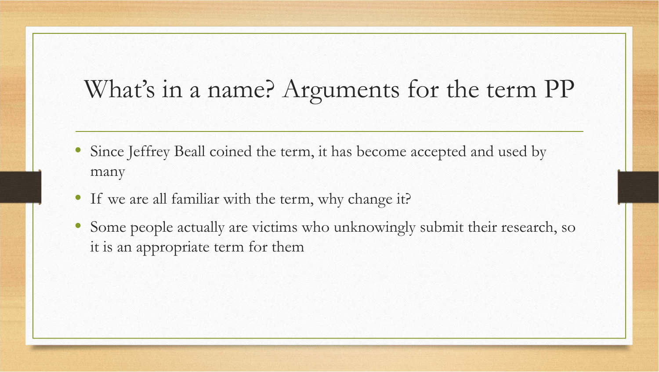### What's in a name? Arguments for the term PP

- $\bullet$  Since Jeffrey Beall coined the term, it has become accepted and used by many
- If we are all familiar with the term, why change it?
- • Some people actually are victims who unknowingly submit their research, so it is an appropriate term for them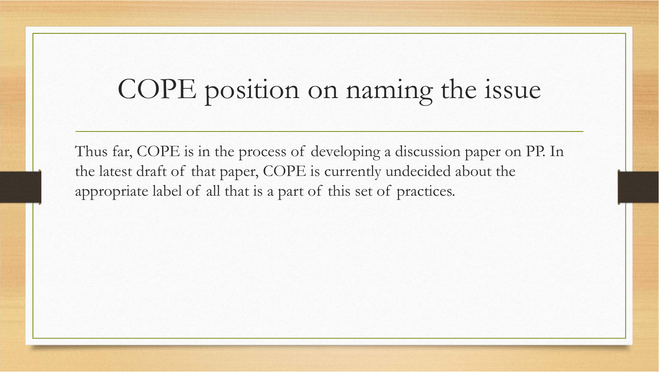# COPE position on naming the issue

Thus far, COPE is in the process of developing a discussion paper on PP. In the latest draft of that paper, COPE is currently undecided about the appropriate label of all that is a part of this set of practices.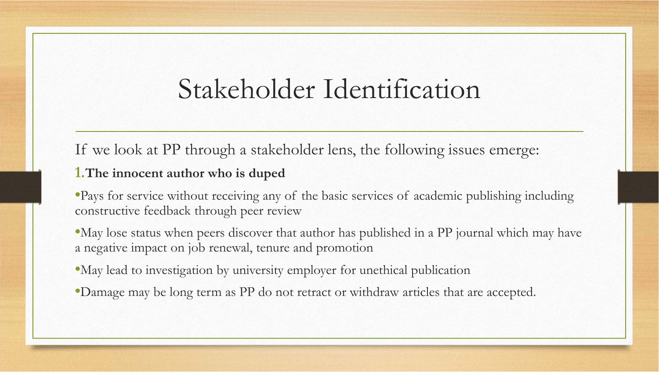## Stakeholder Identification

If we look at PP through a stakeholder lens, the following issues emerge:

#### **1.The innocent author who is duped**

- •Pays for service without receiving any of the basic services of academic publishing including constructive feedback through peer review
- •May lose status when peers discover that author has published in a PP journal which may have a negative impact on job renewal, tenure and promotion
- •May lead to investigation by university employer for unethical publication
- •Damage may be long term as PP do not retract or withdraw articles that are accepted.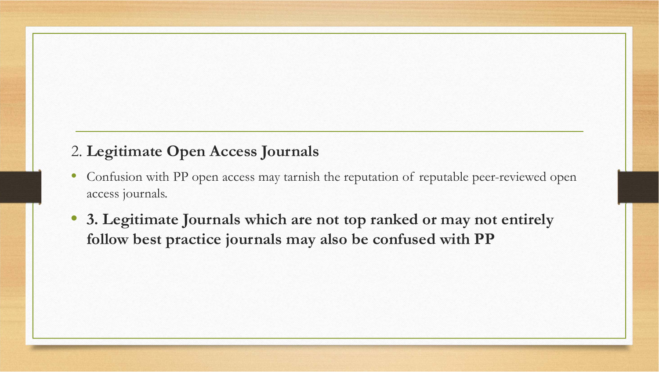### 2. **Legitimate Open Access Journals**

- • Confusion with PP open access may tarnish the reputation of reputable peer-reviewed open access journals.
- • **3. Legitimate Journals which are not top ranked or may not entirely follow best practice journals may also be confused with PP**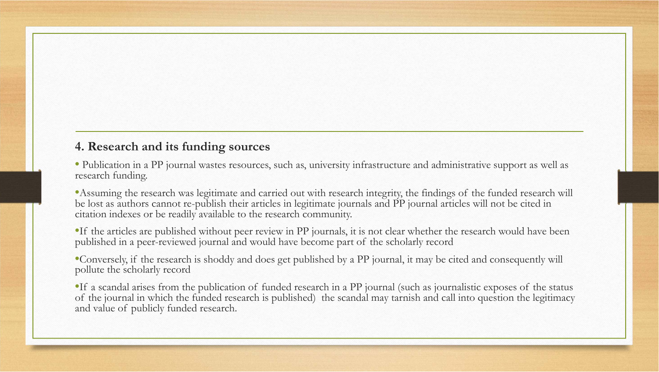#### **4. Research and its funding sources**

• Publication in a PP journal wastes resources, such as, university infrastructure and administrative support as well as research funding.

•Assuming the research was legitimate and carried out with research integrity, the findings of the funded research will be lost as authors cannot re-publish their articles in legitimate journals and PP journal articles will not be cited in citation indexes or be readily available to the research community.

•If the articles are published without peer review in PP journals, it is not clear whether the research would have been published in a peer-reviewed journal and would have become part of the scholarly record

•Conversely, if the research is shoddy and does get published by a PP journal, it may be cited and consequently will pollute the scholarly record

•If a scandal arises from the publication of funded research in a PP journal (such as journalistic exposes of the status of the journal in which the funded research is published) the scandal may tarnish and call into question the legitimacy and value of publicly funded research.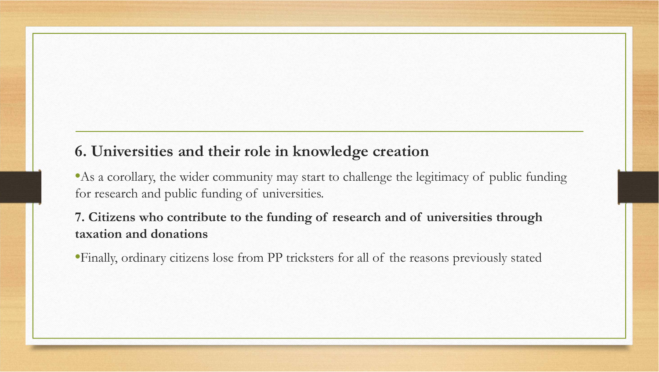### **6. Universities and their role in knowledge creation**

•As a corollary, the wider community may start to challenge the legitimacy of public funding for research and public funding of universities.

#### **7. Citizens who contribute to the funding of research and of universities through taxation and donations**

•Finally, ordinary citizens lose from PP tricksters for all of the reasons previously stated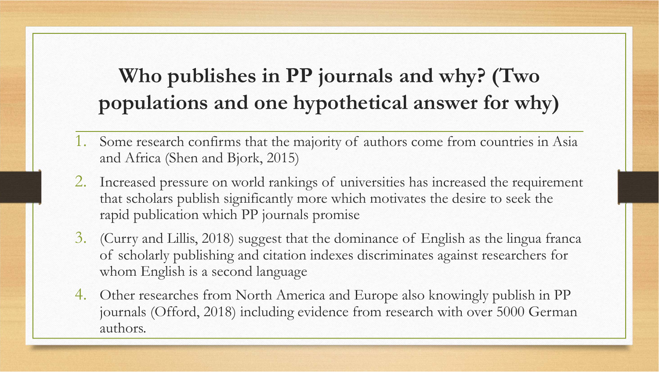### **Who publishes in PP journals and why? (Two populations and one hypothetical answer for why)**

- 1. Some research confirms that the majority of authors come from countries in Asia and Africa (Shen and Bjork, 2015)
- 2. Increased pressure on world rankings of universities has increased the requirement that scholars publish significantly more which motivates the desire to seek the rapid publication which PP journals promise
- 3. (Curry and Lillis, 2018) suggest that the dominance of English as the lingua franca of scholarly publishing and citation indexes discriminates against researchers for whom English is a second language
- 4. Other researches from North America and Europe also knowingly publish in PP journals (Offord, 2018) including evidence from research with over 5000 German authors.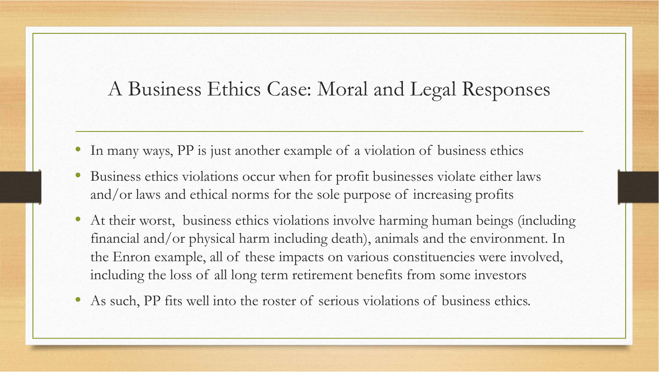### A Business Ethics Case: Moral and Legal Responses

- In many ways, PP is just another example of a violation of business ethics
- • Business ethics violations occur when for profit businesses violate either laws and/or laws and ethical norms for the sole purpose of increasing profits
- $\bullet$  At their worst, business ethics violations involve harming human beings (including financial and/or physical harm including death), animals and the environment. In the Enron example, all of these impacts on various constituencies were involved, including the loss of all long term retirement benefits from some investors
- •As such, PP fits well into the roster of serious violations of business ethics.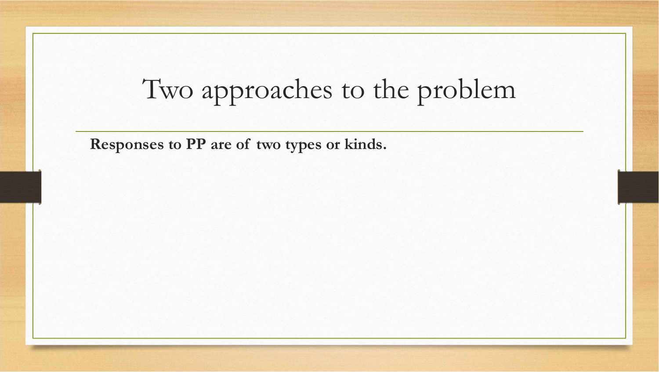# Two approaches to the problem

**Responses to PP are of two types or kinds.**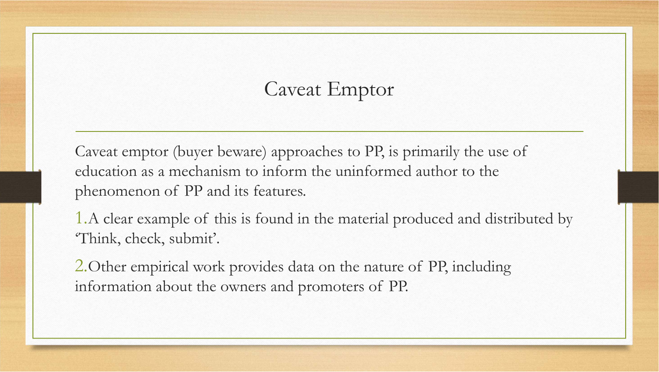### Caveat Emptor

Caveat emptor (buyer beware) approaches to PP, is primarily the use of education as a mechanism to inform the uninformed author to the phenomenon of PP and its features.

1.A clear example of this is found in the material produced and distributed by 'Think, check, submit'.

2.Other empirical work provides data on the nature of PP, including information about the owners and promoters of PP.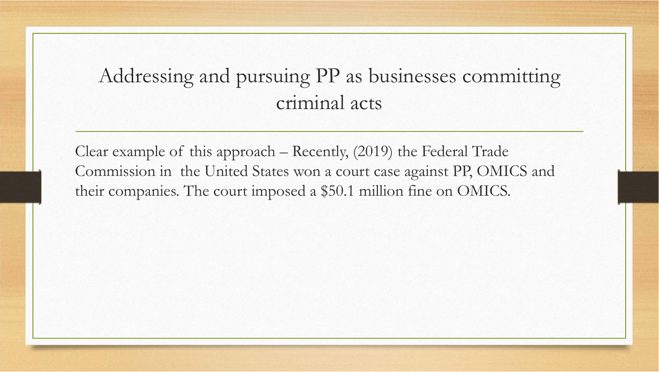### Addressing and pursuing PP as businesses committing criminal acts

Clear example of this approach – Recently, (2019) the Federal Trade Commission in the United States won a court case against PP, OMICS and their companies. The court imposed a \$50.1 million fine on OMICS.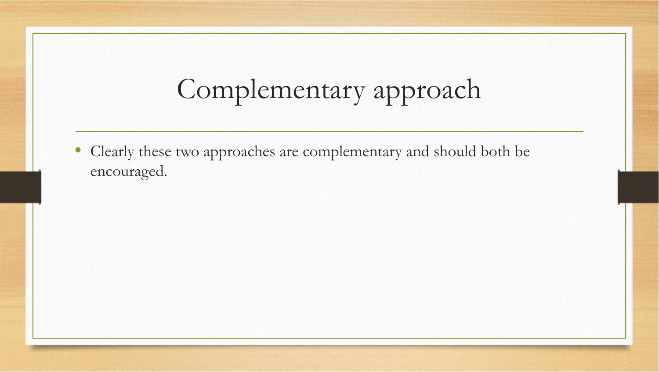# Complementary approach

 $\bullet$  Clearly these two approaches are complementary and should both be encouraged.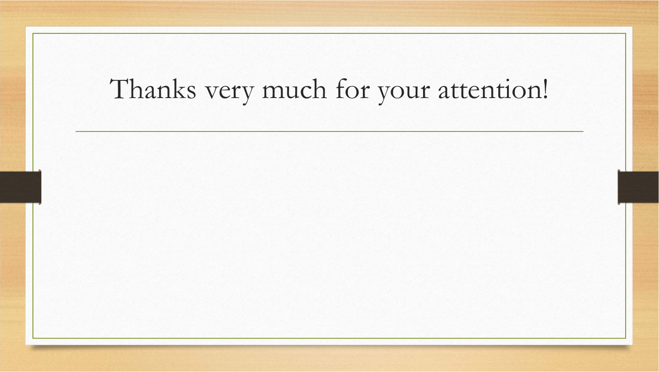# Thanks very much for your attention!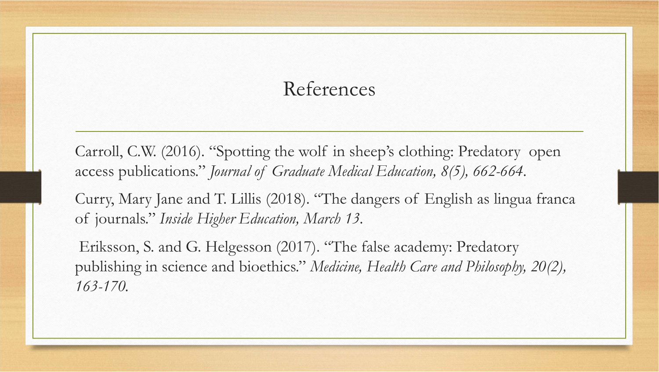### References

Carroll, C.W. (2016). "Spotting the wolf in sheep's clothing: Predatory open access publications." *Journal of Graduate Medical Education, 8(5), 662-664.*

Curry, Mary Jane and T. Lillis (2018). "The dangers of English as lingua franca of journals." *Inside Higher Education, March 13.*

Eriksson, S. and G. Helgesson (2017). "The false academy: Predatory publishing in science and bioethics." *Medicine, Health Care and Philosophy, 20(2), 163-170.*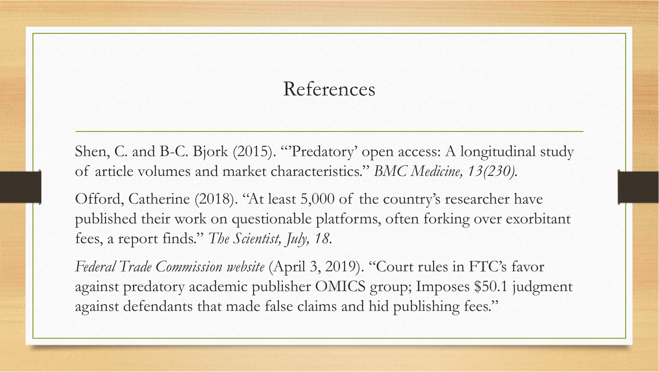### References

Shen, C. and B-C. Bjork (2015). "'Predatory' open access: A longitudinal study of article volumes and market characteristics." *BMC Medicine, 13(230).*

Offord, Catherine (2018). "At least 5,000 of the country's researcher have published their work on questionable platforms, often forking over exorbitant fees, a report finds." *The Scientist, July, 18.*

*Federal Trade Commission website* (April 3, 2019). "Court rules in FTC's favor against predatory academic publisher OMICS group; Imposes \$50.1 judgment against defendants that made false claims and hid publishing fees."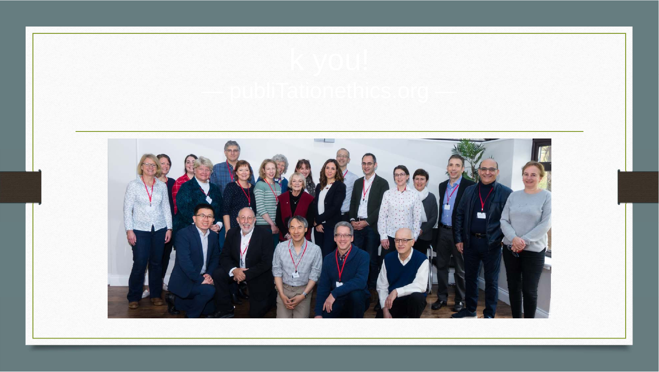